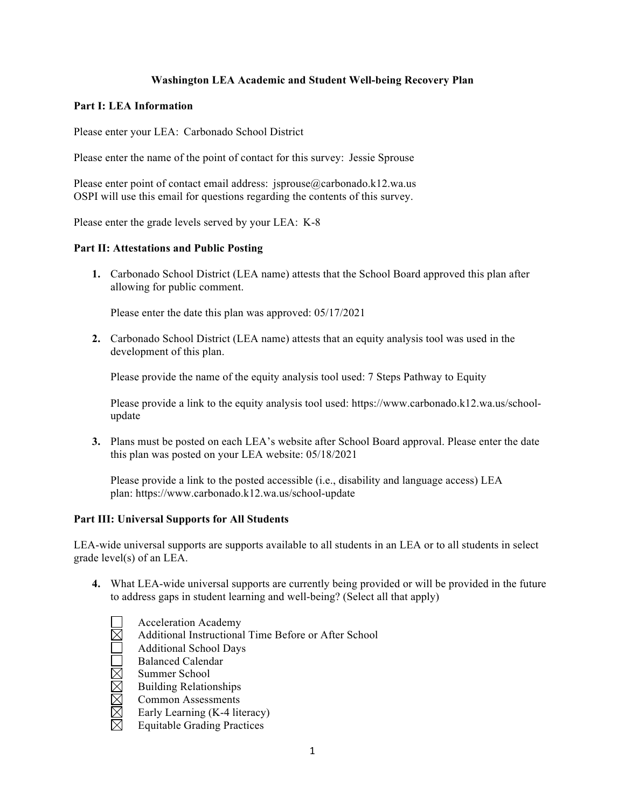# **Washington LEA Academic and Student Well-being Recovery Plan**

#### **Part I: LEA Information**

Please enter your LEA: Carbonado School District

Please enter the name of the point of contact for this survey: Jessie Sprouse

Please enter point of contact email address: jsprouse@carbonado.k12.wa.us OSPI will use this email for questions regarding the contents of this survey.

Please enter the grade levels served by your LEA: K-8

## **Part II: Attestations and Public Posting**

**1.** Carbonado School District (LEA name) attests that the School Board approved this plan after allowing for public comment.

Please enter the date this plan was approved: 05/17/2021

**2.** Carbonado School District (LEA name) attests that an equity analysis tool was used in the development of this plan.

Please provide the name of the equity analysis tool used: 7 Steps Pathway to Equity

Please provide a link to the equity analysis tool used: https://www.carbonado.k12.wa.us/schoolupdate

**3.** Plans must be posted on each LEA's website after School Board approval. Please enter the date this plan was posted on your LEA website: 05/18/2021

Please provide a link to the posted accessible (i.e., disability and language access) LEA plan: https://www.carbonado.k12.wa.us/school-update

## **Part III: Universal Supports for All Students**

LEA-wide universal supports are supports available to all students in an LEA or to all students in select grade level(s) of an LEA.

- **4.** What LEA-wide universal supports are currently being provided or will be provided in the future to address gaps in student learning and well-being? (Select all that apply)
	- Acceleration Academy
	- Additional Instructional Time Before or After School
	- $\overline{\boxtimes}$ Additional School Days
		- Balanced Calendar
	- Summer School
	- Building Relationships
	- MMMM Common Assessments
	- Early Learning (K-4 literacy)
	- Equitable Grading Practices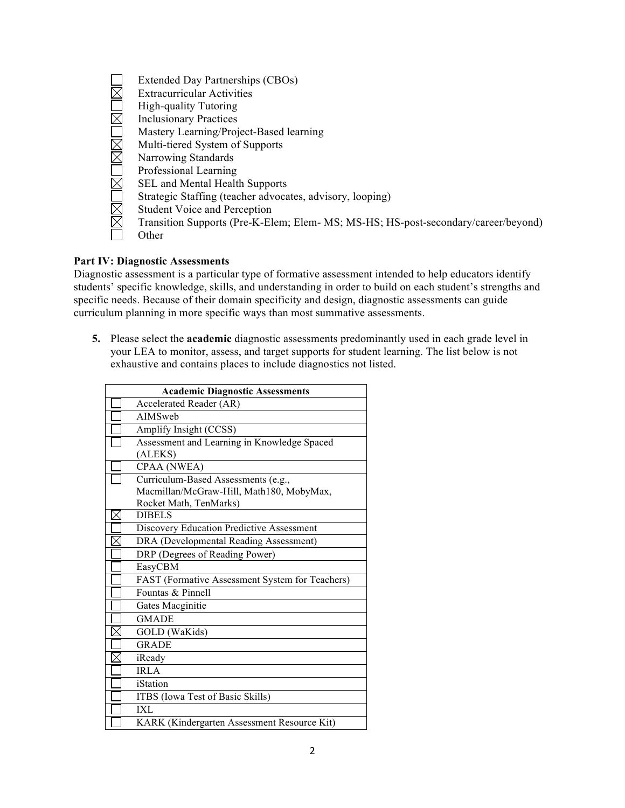|                        | Extended Day Partnerships (CBOs)                                                   |
|------------------------|------------------------------------------------------------------------------------|
|                        | <b>Extracurricular Activities</b>                                                  |
|                        | <b>High-quality Tutoring</b>                                                       |
| $\overline{\boxtimes}$ | <b>Inclusionary Practices</b>                                                      |
|                        | Mastery Learning/Project-Based learning                                            |
|                        | Multi-tiered System of Supports                                                    |
|                        | Narrowing Standards                                                                |
|                        | Professional Learning                                                              |
|                        | <b>SEL</b> and Mental Health Supports                                              |
|                        | Strategic Staffing (teacher advocates, advisory, looping)                          |
| X                      | <b>Student Voice and Perception</b>                                                |
|                        | Transition Supports (Pre-K-Elem; Elem- MS; MS-HS; HS-post-secondary/career/beyond) |
|                        | Other                                                                              |
|                        |                                                                                    |

# **Part IV: Diagnostic Assessments**

Diagnostic assessment is a particular type of formative assessment intended to help educators identify students' specific knowledge, skills, and understanding in order to build on each student's strengths and specific needs. Because of their domain specificity and design, diagnostic assessments can guide curriculum planning in more specific ways than most summative assessments.

**5.** Please select the **academic** diagnostic assessments predominantly used in each grade level in your LEA to monitor, assess, and target supports for student learning. The list below is not exhaustive and contains places to include diagnostics not listed.

|     | <b>Academic Diagnostic Assessments</b>          |
|-----|-------------------------------------------------|
|     | Accelerated Reader (AR)                         |
|     | AIMSweb                                         |
|     | Amplify Insight (CCSS)                          |
|     | Assessment and Learning in Knowledge Spaced     |
|     | (ALEKS)                                         |
|     | CPAA (NWEA)                                     |
|     | Curriculum-Based Assessments (e.g.,             |
|     | Macmillan/McGraw-Hill, Math180, MobyMax,        |
|     | Rocket Math, TenMarks)                          |
| IXI | <b>DIBELS</b>                                   |
|     | Discovery Education Predictive Assessment       |
|     | DRA (Developmental Reading Assessment)          |
|     | DRP (Degrees of Reading Power)                  |
|     | EasyCBM                                         |
|     | FAST (Formative Assessment System for Teachers) |
|     | Fountas & Pinnell                               |
|     | Gates Macginitie                                |
|     | <b>GMADE</b>                                    |
|     | GOLD (WaKids)                                   |
|     | <b>GRADE</b>                                    |
|     | iReady                                          |
|     | <b>IRLA</b>                                     |
|     | iStation                                        |
|     | ITBS (Iowa Test of Basic Skills)                |
|     | IXI.                                            |
|     | KARK (Kindergarten Assessment Resource Kit)     |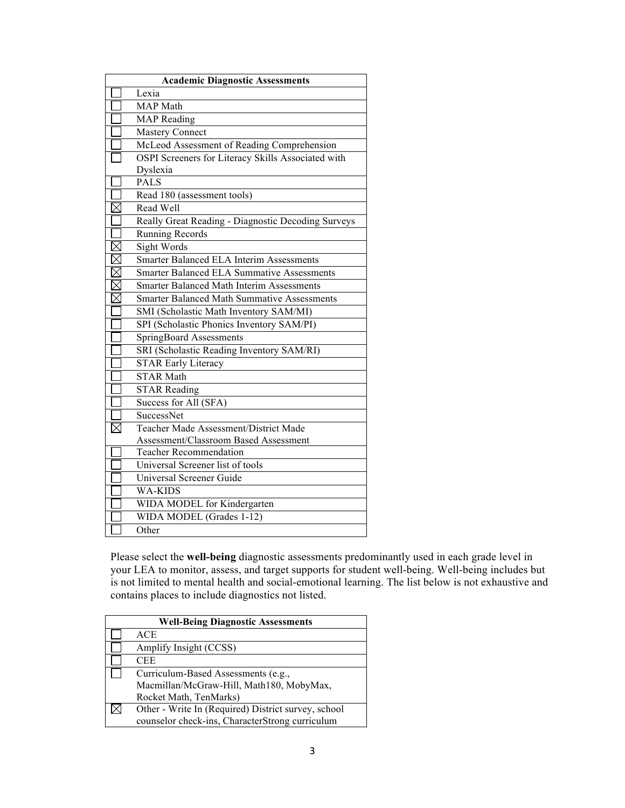| <b>Academic Diagnostic Assessments</b> |                                                    |  |
|----------------------------------------|----------------------------------------------------|--|
|                                        | Lexia                                              |  |
|                                        | <b>MAP</b> Math                                    |  |
|                                        | <b>MAP</b> Reading                                 |  |
|                                        | <b>Mastery Connect</b>                             |  |
|                                        | McLeod Assessment of Reading Comprehension         |  |
|                                        | OSPI Screeners for Literacy Skills Associated with |  |
|                                        | Dyslexia                                           |  |
|                                        | <b>PALS</b>                                        |  |
|                                        | Read 180 (assessment tools)                        |  |
| $\boxtimes$                            | Read Well                                          |  |
|                                        | Really Great Reading - Diagnostic Decoding Surveys |  |
|                                        | <b>Running Records</b>                             |  |
| $\boxtimes$                            | <b>Sight Words</b>                                 |  |
| $\boxtimes$                            | <b>Smarter Balanced ELA Interim Assessments</b>    |  |
|                                        | <b>Smarter Balanced ELA Summative Assessments</b>  |  |
| $\boxtimes$                            | <b>Smarter Balanced Math Interim Assessments</b>   |  |
| $\boxtimes$                            | <b>Smarter Balanced Math Summative Assessments</b> |  |
|                                        | SMI (Scholastic Math Inventory SAM/MI)             |  |
|                                        | SPI (Scholastic Phonics Inventory SAM/PI)          |  |
|                                        | SpringBoard Assessments                            |  |
|                                        | SRI (Scholastic Reading Inventory SAM/RI)          |  |
|                                        | <b>STAR Early Literacy</b>                         |  |
|                                        | <b>STAR Math</b>                                   |  |
|                                        | <b>STAR Reading</b>                                |  |
|                                        | Success for All (SFA)                              |  |
|                                        | SuccessNet                                         |  |
|                                        | Teacher Made Assessment/District Made              |  |
|                                        | Assessment/Classroom Based Assessment              |  |
|                                        | <b>Teacher Recommendation</b>                      |  |
|                                        | Universal Screener list of tools                   |  |
|                                        | Universal Screener Guide                           |  |
|                                        | <b>WA-KIDS</b>                                     |  |
|                                        | WIDA MODEL for Kindergarten                        |  |
|                                        | WIDA MODEL (Grades 1-12)                           |  |
|                                        | Other                                              |  |

Please select the **well-being** diagnostic assessments predominantly used in each grade level in your LEA to monitor, assess, and target supports for student well-being. Well-being includes but is not limited to mental health and social-emotional learning. The list below is not exhaustive and contains places to include diagnostics not listed.

| <b>Well-Being Diagnostic Assessments</b>            |
|-----------------------------------------------------|
| <b>ACE</b>                                          |
| Amplify Insight (CCSS)                              |
| <b>CEE</b>                                          |
| Curriculum-Based Assessments (e.g.,                 |
| Macmillan/McGraw-Hill, Math180, MobyMax,            |
| Rocket Math, TenMarks)                              |
| Other - Write In (Required) District survey, school |
| counselor check-ins, CharacterStrong curriculum     |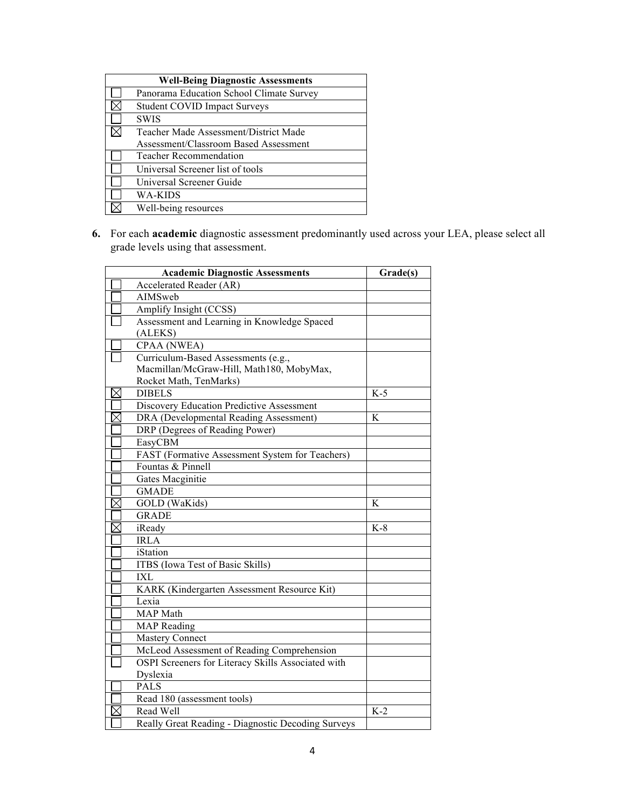| <b>Well-Being Diagnostic Assessments</b> |
|------------------------------------------|
| Panorama Education School Climate Survey |
| <b>Student COVID Impact Surveys</b>      |
| <b>SWIS</b>                              |
| Teacher Made Assessment/District Made    |
| Assessment/Classroom Based Assessment    |
| <b>Teacher Recommendation</b>            |
| Universal Screener list of tools         |
| Universal Screener Guide                 |
| WA-KIDS                                  |
| Well-being resources                     |
|                                          |

**6.** For each **academic** diagnostic assessment predominantly used across your LEA, please select all grade levels using that assessment.

|             | <b>Academic Diagnostic Assessments</b>             | Grade(s) |
|-------------|----------------------------------------------------|----------|
|             | <b>Accelerated Reader (AR)</b>                     |          |
|             | AIMSweb                                            |          |
|             | Amplify Insight (CCSS)                             |          |
|             | Assessment and Learning in Knowledge Spaced        |          |
|             | (ALEKS)                                            |          |
|             | CPAA (NWEA)                                        |          |
|             | Curriculum-Based Assessments (e.g.,                |          |
|             | Macmillan/McGraw-Hill, Math180, MobyMax,           |          |
|             | Rocket Math, TenMarks)                             |          |
| $\boxtimes$ | <b>DIBELS</b>                                      | $K-5$    |
|             | Discovery Education Predictive Assessment          |          |
| $\boxtimes$ | DRA (Developmental Reading Assessment)             | K        |
|             | DRP (Degrees of Reading Power)                     |          |
|             | EasyCBM                                            |          |
|             | FAST (Formative Assessment System for Teachers)    |          |
|             | Fountas & Pinnell                                  |          |
|             | Gates Macginitie                                   |          |
|             | <b>GMADE</b>                                       |          |
| $\boxtimes$ | <b>GOLD</b> (WaKids)                               | K        |
|             | <b>GRADE</b>                                       |          |
|             | iReady                                             | $K-8$    |
|             | <b>IRLA</b>                                        |          |
|             | iStation                                           |          |
|             | ITBS (Iowa Test of Basic Skills)                   |          |
|             | <b>IXL</b>                                         |          |
|             | KARK (Kindergarten Assessment Resource Kit)        |          |
|             | Lexia                                              |          |
|             | MAP Math                                           |          |
|             | <b>MAP</b> Reading                                 |          |
|             | <b>Mastery Connect</b>                             |          |
|             | McLeod Assessment of Reading Comprehension         |          |
|             | OSPI Screeners for Literacy Skills Associated with |          |
|             | Dyslexia                                           |          |
|             | <b>PALS</b>                                        |          |
|             | Read 180 (assessment tools)                        |          |
|             | Read Well                                          | $K-2$    |
|             | Really Great Reading - Diagnostic Decoding Surveys |          |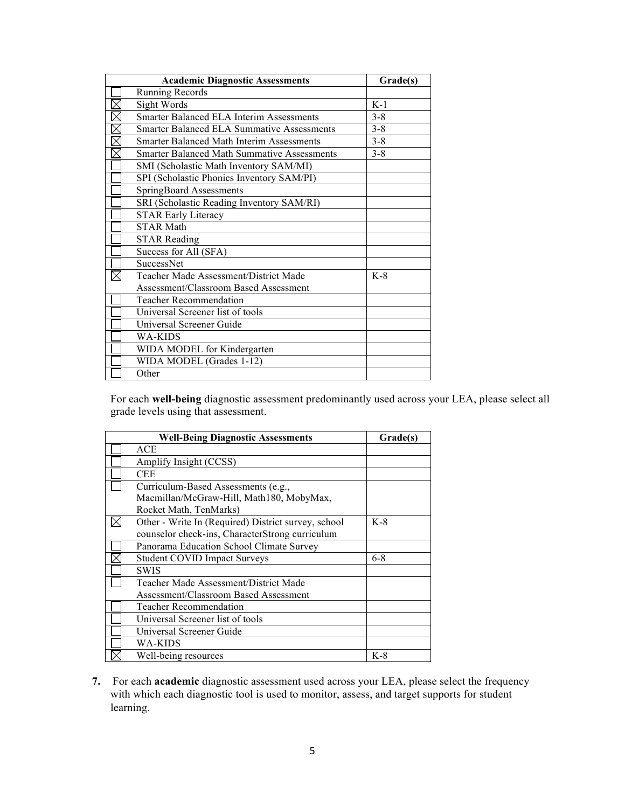| <b>Academic Diagnostic Assessments</b><br>Grade(s) |         |  |
|----------------------------------------------------|---------|--|
| <b>Running Records</b>                             |         |  |
| Sight Words                                        | $K-1$   |  |
| <b>Smarter Balanced ELA Interim Assessments</b>    | $3 - 8$ |  |
| <b>Smarter Balanced ELA Summative Assessments</b>  | $3 - 8$ |  |
| <b>Smarter Balanced Math Interim Assessments</b>   | $3 - 8$ |  |
| <b>Smarter Balanced Math Summative Assessments</b> | $3 - 8$ |  |
| SMI (Scholastic Math Inventory SAM/MI)             |         |  |
| SPI (Scholastic Phonics Inventory SAM/PI)          |         |  |
| <b>SpringBoard Assessments</b>                     |         |  |
| SRI (Scholastic Reading Inventory SAM/RI)          |         |  |
| <b>STAR Early Literacy</b>                         |         |  |
| <b>STAR Math</b>                                   |         |  |
| <b>STAR Reading</b>                                |         |  |
| Success for All (SFA)                              |         |  |
| SuccessNet                                         |         |  |
| Teacher Made Assessment/District Made              | $K-8$   |  |
| Assessment/Classroom Based Assessment              |         |  |
| <b>Teacher Recommendation</b>                      |         |  |
| Universal Screener list of tools                   |         |  |
| Universal Screener Guide                           |         |  |
| WA-KIDS                                            |         |  |
| WIDA MODEL for Kindergarten                        |         |  |
| WIDA MODEL (Grades 1-12)                           |         |  |
| Other                                              |         |  |

For each **well-being** diagnostic assessment predominantly used across your LEA, please select all grade levels using that assessment.

| <b>Well-Being Diagnostic Assessments</b>            | Grade(s) |
|-----------------------------------------------------|----------|
| ACE                                                 |          |
| Amplify Insight (CCSS)                              |          |
| <b>CEE</b>                                          |          |
| Curriculum-Based Assessments (e.g.,                 |          |
| Macmillan/McGraw-Hill, Math180, MobyMax,            |          |
| Rocket Math, TenMarks)                              |          |
| Other - Write In (Required) District survey, school | $K-8$    |
| counselor check-ins, CharacterStrong curriculum     |          |
| Panorama Education School Climate Survey            |          |
| <b>Student COVID Impact Surveys</b>                 | $6 - 8$  |
| <b>SWIS</b>                                         |          |
| Teacher Made Assessment/District Made               |          |
| Assessment/Classroom Based Assessment               |          |
| <b>Teacher Recommendation</b>                       |          |
| Universal Screener list of tools                    |          |
| Universal Screener Guide                            |          |
| WA-KIDS                                             |          |
| Well-being resources                                | $K-8$    |

**7.** For each **academic** diagnostic assessment used across your LEA, please select the frequency with which each diagnostic tool is used to monitor, assess, and target supports for student learning.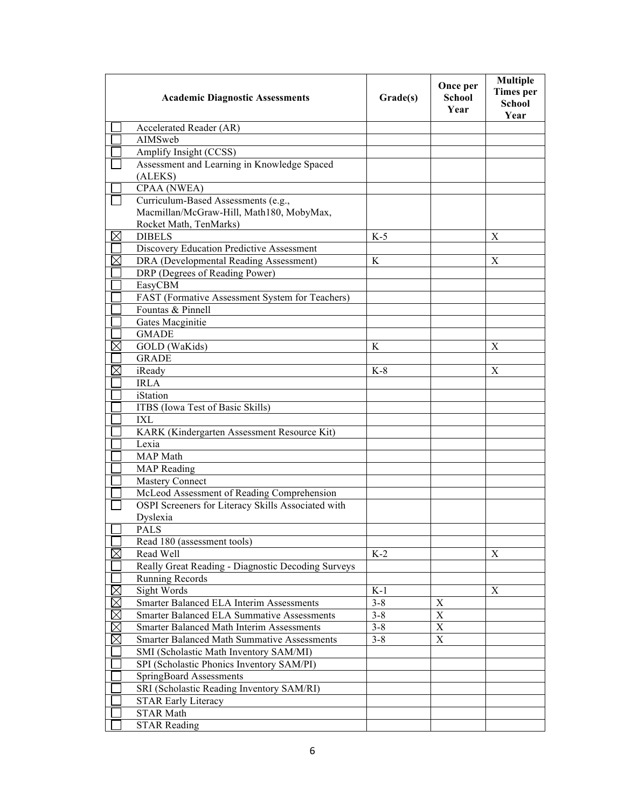|             | <b>Academic Diagnostic Assessments</b>                                                       | Grade(s) | Once per<br><b>School</b><br>Year | <b>Multiple</b><br><b>Times</b> per<br><b>School</b><br>Year |
|-------------|----------------------------------------------------------------------------------------------|----------|-----------------------------------|--------------------------------------------------------------|
|             | Accelerated Reader (AR)                                                                      |          |                                   |                                                              |
|             | AIMSweb                                                                                      |          |                                   |                                                              |
|             | Amplify Insight (CCSS)                                                                       |          |                                   |                                                              |
|             | Assessment and Learning in Knowledge Spaced                                                  |          |                                   |                                                              |
|             | (ALEKS)                                                                                      |          |                                   |                                                              |
|             | CPAA (NWEA)                                                                                  |          |                                   |                                                              |
|             | Curriculum-Based Assessments (e.g.,                                                          |          |                                   |                                                              |
|             | Macmillan/McGraw-Hill, Math180, MobyMax,                                                     |          |                                   |                                                              |
|             | Rocket Math, TenMarks)                                                                       |          |                                   |                                                              |
| $\boxtimes$ | <b>DIBELS</b>                                                                                | $K-5$    |                                   | X                                                            |
|             | Discovery Education Predictive Assessment                                                    |          |                                   |                                                              |
|             | DRA (Developmental Reading Assessment)                                                       | K        |                                   | X                                                            |
|             | DRP (Degrees of Reading Power)                                                               |          |                                   |                                                              |
|             | EasyCBM                                                                                      |          |                                   |                                                              |
|             | FAST (Formative Assessment System for Teachers)                                              |          |                                   |                                                              |
|             | Fountas & Pinnell                                                                            |          |                                   |                                                              |
|             | Gates Macginitie                                                                             |          |                                   |                                                              |
|             | <b>GMADE</b>                                                                                 |          |                                   |                                                              |
|             | GOLD (WaKids)                                                                                | K        |                                   | X                                                            |
|             | <b>GRADE</b>                                                                                 |          |                                   |                                                              |
|             | iReady                                                                                       | $K-8$    |                                   | X                                                            |
|             | <b>IRLA</b>                                                                                  |          |                                   |                                                              |
|             | iStation                                                                                     |          |                                   |                                                              |
|             | ITBS (Iowa Test of Basic Skills)                                                             |          |                                   |                                                              |
|             | IXL                                                                                          |          |                                   |                                                              |
|             | KARK (Kindergarten Assessment Resource Kit)                                                  |          |                                   |                                                              |
|             | Lexia                                                                                        |          |                                   |                                                              |
|             | MAP Math                                                                                     |          |                                   |                                                              |
|             | <b>MAP</b> Reading                                                                           |          |                                   |                                                              |
|             | <b>Mastery Connect</b>                                                                       |          |                                   |                                                              |
|             | McLeod Assessment of Reading Comprehension                                                   |          |                                   |                                                              |
|             | OSPI Screeners for Literacy Skills Associated with                                           |          |                                   |                                                              |
|             | Dyslexia                                                                                     |          |                                   |                                                              |
|             | PALS                                                                                         |          |                                   |                                                              |
|             | Read 180 (assessment tools)                                                                  |          |                                   |                                                              |
| $\boxtimes$ | Read Well                                                                                    | $K-2$    |                                   | X                                                            |
|             | Really Great Reading - Diagnostic Decoding Surveys                                           |          |                                   |                                                              |
|             | <b>Running Records</b>                                                                       |          |                                   |                                                              |
|             | Sight Words<br>Smarter Balanced ELA Interim Assessments                                      | $K-1$    |                                   | X                                                            |
| MØØØ        |                                                                                              | $3 - 8$  | X<br>X                            |                                                              |
|             | <b>Smarter Balanced ELA Summative Assessments</b>                                            | $3 - 8$  | X                                 |                                                              |
| $\boxtimes$ | Smarter Balanced Math Interim Assessments                                                    | $3 - 8$  | X                                 |                                                              |
|             | <b>Smarter Balanced Math Summative Assessments</b><br>SMI (Scholastic Math Inventory SAM/MI) | $3 - 8$  |                                   |                                                              |
|             |                                                                                              |          |                                   |                                                              |
|             | SPI (Scholastic Phonics Inventory SAM/PI)<br>SpringBoard Assessments                         |          |                                   |                                                              |
|             | SRI (Scholastic Reading Inventory SAM/RI)                                                    |          |                                   |                                                              |
|             | <b>STAR Early Literacy</b>                                                                   |          |                                   |                                                              |
|             | <b>STAR Math</b>                                                                             |          |                                   |                                                              |
|             | <b>STAR Reading</b>                                                                          |          |                                   |                                                              |
|             |                                                                                              |          |                                   |                                                              |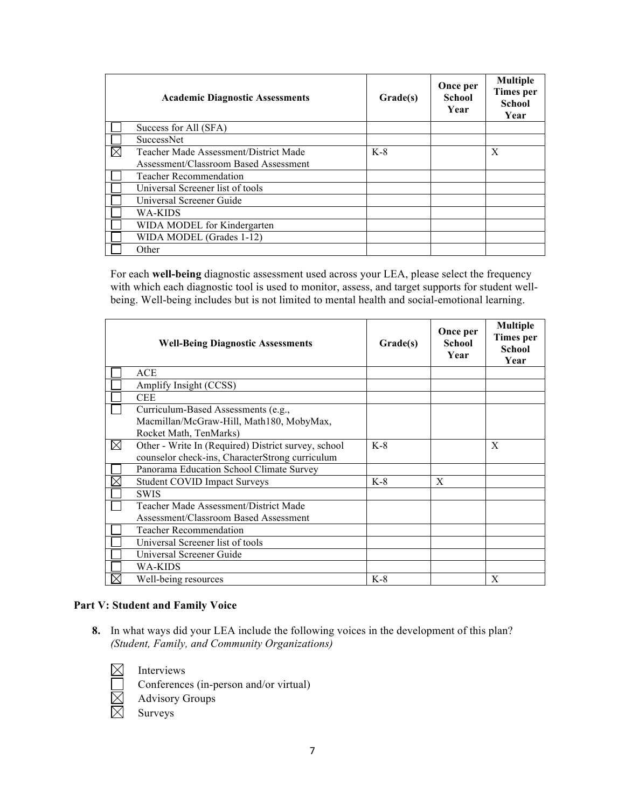| <b>Academic Diagnostic Assessments</b> | Grade(s) | Once per<br><b>School</b><br>Year | <b>Multiple</b><br><b>Times</b> per<br><b>School</b><br>Year |
|----------------------------------------|----------|-----------------------------------|--------------------------------------------------------------|
| Success for All (SFA)                  |          |                                   |                                                              |
| <b>SuccessNet</b>                      |          |                                   |                                                              |
| Teacher Made Assessment/District Made  | $K-8$    |                                   | $\boldsymbol{X}$                                             |
| Assessment/Classroom Based Assessment  |          |                                   |                                                              |
| <b>Teacher Recommendation</b>          |          |                                   |                                                              |
| Universal Screener list of tools       |          |                                   |                                                              |
| Universal Screener Guide               |          |                                   |                                                              |
| WA-KIDS                                |          |                                   |                                                              |
| WIDA MODEL for Kindergarten            |          |                                   |                                                              |
| WIDA MODEL (Grades 1-12)               |          |                                   |                                                              |
| Other                                  |          |                                   |                                                              |

For each **well-being** diagnostic assessment used across your LEA, please select the frequency with which each diagnostic tool is used to monitor, assess, and target supports for student wellbeing. Well-being includes but is not limited to mental health and social-emotional learning.

|   | <b>Well-Being Diagnostic Assessments</b>            | Grade(s) | Once per<br>School<br>Year | <b>Multiple</b><br><b>Times</b> per<br><b>School</b><br>Year |
|---|-----------------------------------------------------|----------|----------------------------|--------------------------------------------------------------|
|   | <b>ACE</b>                                          |          |                            |                                                              |
|   | Amplify Insight (CCSS)                              |          |                            |                                                              |
|   | <b>CEE</b>                                          |          |                            |                                                              |
|   | Curriculum-Based Assessments (e.g.,                 |          |                            |                                                              |
|   | Macmillan/McGraw-Hill, Math180, MobyMax,            |          |                            |                                                              |
|   | Rocket Math, TenMarks)                              |          |                            |                                                              |
| ⊠ | Other - Write In (Required) District survey, school | $K-8$    |                            | $\boldsymbol{X}$                                             |
|   | counselor check-ins, CharacterStrong curriculum     |          |                            |                                                              |
|   | Panorama Education School Climate Survey            |          |                            |                                                              |
|   | <b>Student COVID Impact Surveys</b>                 | $K-8$    | $\boldsymbol{X}$           |                                                              |
|   | <b>SWIS</b>                                         |          |                            |                                                              |
|   | Teacher Made Assessment/District Made               |          |                            |                                                              |
|   | Assessment/Classroom Based Assessment               |          |                            |                                                              |
|   | <b>Teacher Recommendation</b>                       |          |                            |                                                              |
|   | Universal Screener list of tools                    |          |                            |                                                              |
|   | Universal Screener Guide                            |          |                            |                                                              |
|   | <b>WA-KIDS</b>                                      |          |                            |                                                              |
|   | Well-being resources                                | $K-8$    |                            | X                                                            |

## **Part V: Student and Family Voice**

**8.** In what ways did your LEA include the following voices in the development of this plan? *(Student, Family, and Community Organizations)*

 $\boxtimes$ Interviews

Conferences (in-person and/or virtual)

Advisory Groups

X Surveys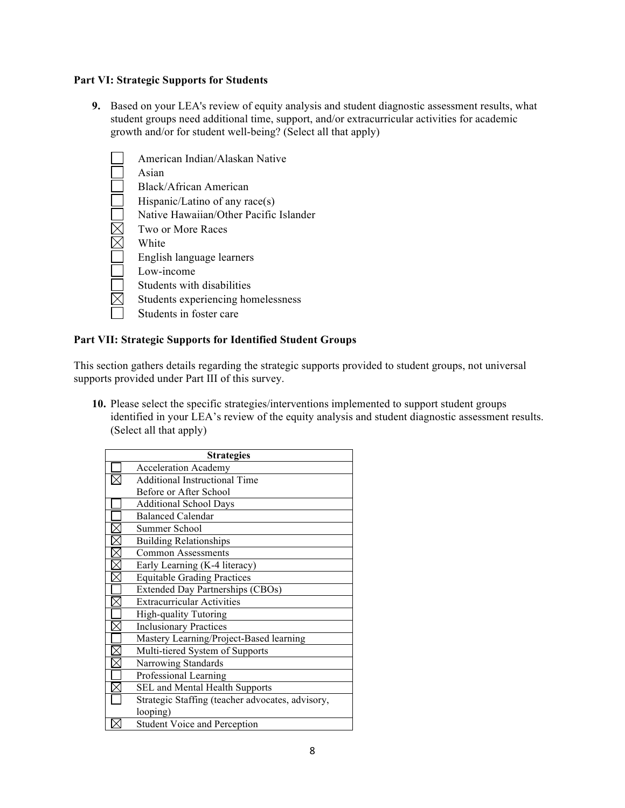#### **Part VI: Strategic Supports for Students**

**9.** Based on your LEA's review of equity analysis and student diagnostic assessment results, what student groups need additional time, support, and/or extracurricular activities for academic growth and/or for student well-being? (Select all that apply)

| American Indian/Alaskan Native         |
|----------------------------------------|
| Asian                                  |
| Black/African American                 |
| Hispanic/Latino of any race(s)         |
| Native Hawaiian/Other Pacific Islander |
| Two or More Races                      |
| White                                  |
| English language learners              |
| Low-income                             |
| Students with disabilities             |
| Students experiencing homelessness     |
| Students in foster care                |

# **Part VII: Strategic Supports for Identified Student Groups**

This section gathers details regarding the strategic supports provided to student groups, not universal supports provided under Part III of this survey.

**10.** Please select the specific strategies/interventions implemented to support student groups identified in your LEA's review of the equity analysis and student diagnostic assessment results. (Select all that apply)

| <b>Strategies</b> |                                                  |  |  |
|-------------------|--------------------------------------------------|--|--|
|                   | <b>Acceleration Academy</b>                      |  |  |
|                   | <b>Additional Instructional Time</b>             |  |  |
|                   | Before or After School                           |  |  |
|                   | <b>Additional School Days</b>                    |  |  |
|                   | <b>Balanced Calendar</b>                         |  |  |
|                   | Summer School                                    |  |  |
|                   | <b>Building Relationships</b>                    |  |  |
|                   | <b>Common Assessments</b>                        |  |  |
|                   | Early Learning (K-4 literacy)                    |  |  |
|                   | <b>Equitable Grading Practices</b>               |  |  |
|                   | <b>Extended Day Partnerships (CBOs)</b>          |  |  |
|                   | <b>Extracurricular Activities</b>                |  |  |
|                   | <b>High-quality Tutoring</b>                     |  |  |
|                   | <b>Inclusionary Practices</b>                    |  |  |
|                   | Mastery Learning/Project-Based learning          |  |  |
|                   | Multi-tiered System of Supports                  |  |  |
|                   | Narrowing Standards                              |  |  |
|                   | Professional Learning                            |  |  |
|                   | SEL and Mental Health Supports                   |  |  |
|                   | Strategic Staffing (teacher advocates, advisory, |  |  |
|                   | looping)                                         |  |  |
|                   | <b>Student Voice and Perception</b>              |  |  |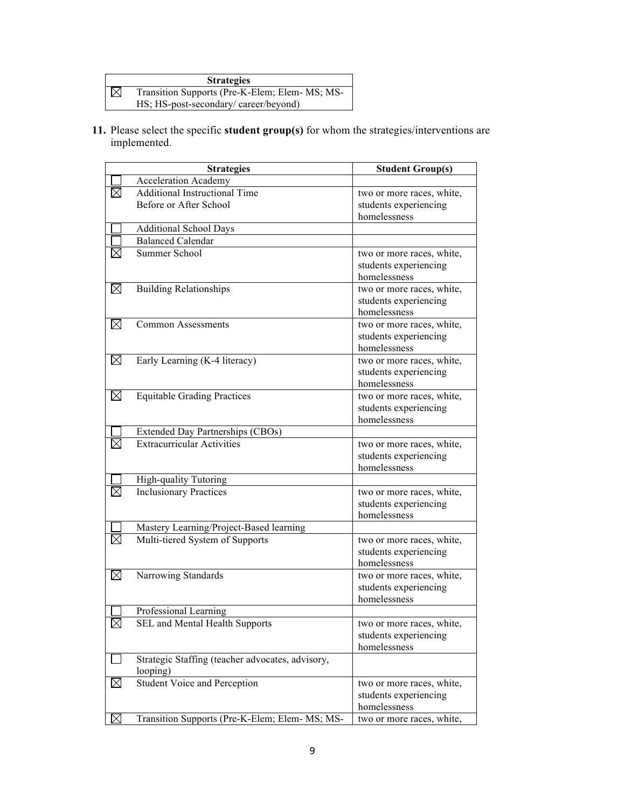#### **Strategies**

 $\boxtimes$ Transition Supports (Pre-K-Elem; Elem- MS; MS-HS; HS-post-secondary/ career/beyond)

**11.** Please select the specific **student group(s)** for whom the strategies/interventions are implemented.

| <b>Strategies</b> |                                                                            | <b>Student Group(s)</b>                            |
|-------------------|----------------------------------------------------------------------------|----------------------------------------------------|
|                   | <b>Acceleration Academy</b>                                                |                                                    |
|                   | <b>Additional Instructional Time</b>                                       | two or more races, white,                          |
|                   | Before or After School                                                     | students experiencing                              |
|                   |                                                                            | homelessness                                       |
|                   | <b>Additional School Days</b>                                              |                                                    |
|                   | <b>Balanced Calendar</b>                                                   |                                                    |
|                   | <b>Summer School</b>                                                       | two or more races, white,                          |
|                   |                                                                            | students experiencing                              |
|                   |                                                                            | homelessness                                       |
| $\boxtimes$       | <b>Building Relationships</b>                                              | two or more races, white,                          |
|                   |                                                                            | students experiencing                              |
|                   |                                                                            | homelessness                                       |
| $\boxtimes$       | <b>Common Assessments</b>                                                  | two or more races, white,                          |
|                   |                                                                            | students experiencing                              |
|                   |                                                                            | homelessness                                       |
| $\boxtimes$       | Early Learning (K-4 literacy)                                              | two or more races, white,                          |
|                   |                                                                            | students experiencing                              |
|                   |                                                                            | homelessness                                       |
| $\boxtimes$       | <b>Equitable Grading Practices</b>                                         | two or more races, white,                          |
|                   |                                                                            | students experiencing                              |
|                   |                                                                            | homelessness                                       |
|                   | Extended Day Partnerships (CBOs)                                           |                                                    |
|                   | <b>Extracurricular Activities</b>                                          | two or more races, white,                          |
|                   |                                                                            | students experiencing                              |
|                   |                                                                            | homelessness                                       |
|                   | High-quality Tutoring                                                      |                                                    |
|                   | <b>Inclusionary Practices</b>                                              | two or more races, white,                          |
|                   |                                                                            | students experiencing<br>homelessness              |
|                   |                                                                            |                                                    |
| $\bowtie$         | Mastery Learning/Project-Based learning<br>Multi-tiered System of Supports |                                                    |
|                   |                                                                            | two or more races, white,<br>students experiencing |
|                   |                                                                            | homelessness                                       |
| $\boxtimes$       | Narrowing Standards                                                        | two or more races, white,                          |
|                   |                                                                            | students experiencing                              |
|                   |                                                                            | homelessness                                       |
|                   | Professional Learning                                                      |                                                    |
| $\boxtimes$       | SEL and Mental Health Supports                                             | two or more races, white,                          |
|                   |                                                                            | students experiencing                              |
|                   |                                                                            | homelessness                                       |
|                   | Strategic Staffing (teacher advocates, advisory,                           |                                                    |
|                   | looping)                                                                   |                                                    |
| $\boxtimes$       | Student Voice and Perception                                               | two or more races, white,                          |
|                   |                                                                            | students experiencing                              |
|                   |                                                                            | homelessness                                       |
| $\boxtimes$       | Transition Supports (Pre-K-Elem; Elem-MS; MS-                              | two or more races, white,                          |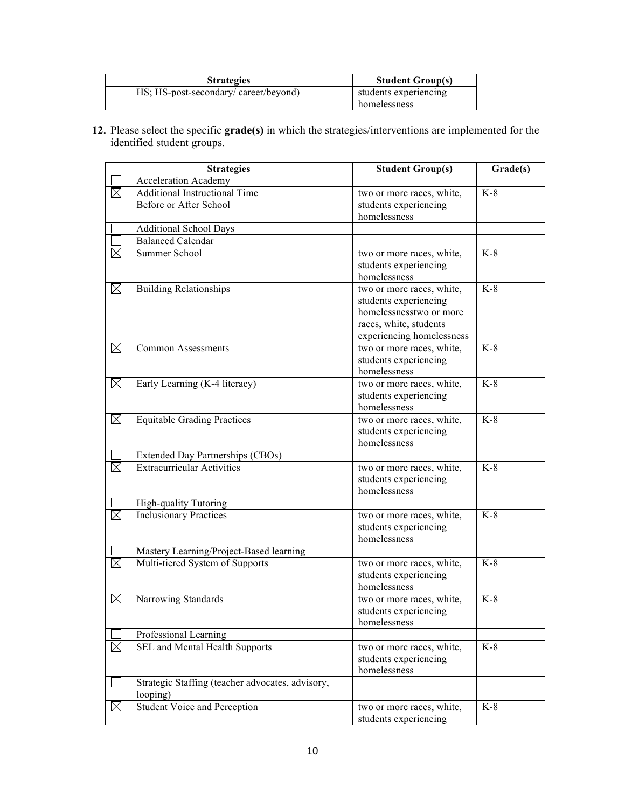| <b>Strategies</b>                     | <b>Student Group(s)</b> |
|---------------------------------------|-------------------------|
| HS; HS-post-secondary/ career/beyond) | students experiencing   |
|                                       | homelessness            |

**12.** Please select the specific **grade(s)** in which the strategies/interventions are implemented for the identified student groups.

| <b>Strategies</b> |                                                         | <b>Student Group(s)</b>               | Grade(s) |
|-------------------|---------------------------------------------------------|---------------------------------------|----------|
|                   | <b>Acceleration Academy</b>                             |                                       |          |
| ⊠                 | <b>Additional Instructional Time</b>                    | two or more races, white,             | $K-8$    |
|                   | Before or After School                                  | students experiencing                 |          |
|                   |                                                         | homelessness                          |          |
|                   | <b>Additional School Days</b>                           |                                       |          |
|                   | <b>Balanced Calendar</b>                                |                                       |          |
|                   | Summer School                                           | two or more races, white,             | $K-8$    |
|                   |                                                         | students experiencing                 |          |
|                   |                                                         | homelessness                          |          |
| $\boxtimes$       | <b>Building Relationships</b>                           | two or more races, white,             | $K-8$    |
|                   |                                                         | students experiencing                 |          |
|                   |                                                         | homelessnesstwo or more               |          |
|                   |                                                         | races, white, students                |          |
|                   |                                                         | experiencing homelessness             |          |
| $\boxtimes$       | <b>Common Assessments</b>                               | two or more races, white,             | $K-8$    |
|                   |                                                         | students experiencing<br>homelessness |          |
| ⊠                 | Early Learning (K-4 literacy)                           | two or more races, white,             | $K-8$    |
|                   |                                                         | students experiencing                 |          |
|                   |                                                         | homelessness                          |          |
| $\boxtimes$       | <b>Equitable Grading Practices</b>                      | two or more races, white,             | $K-8$    |
|                   |                                                         | students experiencing                 |          |
|                   |                                                         | homelessness                          |          |
|                   | Extended Day Partnerships (CBOs)                        |                                       |          |
| $\boxtimes$       | <b>Extracurricular Activities</b>                       | two or more races, white,             | $K-8$    |
|                   |                                                         | students experiencing                 |          |
|                   |                                                         | homelessness                          |          |
|                   | High-quality Tutoring                                   |                                       |          |
| $\bowtie$         | <b>Inclusionary Practices</b>                           | two or more races, white,             | $K-8$    |
|                   |                                                         | students experiencing                 |          |
|                   |                                                         | homelessness                          |          |
|                   | Mastery Learning/Project-Based learning                 |                                       |          |
| $\boxtimes$       | Multi-tiered System of Supports                         | two or more races, white,             | $K-8$    |
|                   |                                                         | students experiencing                 |          |
|                   |                                                         | homelessness                          |          |
| $\boxtimes$       | Narrowing Standards                                     | two or more races, white,             | $K-8$    |
|                   |                                                         | students experiencing                 |          |
|                   |                                                         | homelessness                          |          |
| $\bowtie$         | Professional Learning<br>SEL and Mental Health Supports |                                       | $K-8$    |
|                   |                                                         | two or more races, white,             |          |
|                   |                                                         | students experiencing<br>homelessness |          |
|                   | Strategic Staffing (teacher advocates, advisory,        |                                       |          |
|                   | looping)                                                |                                       |          |
| $\boxtimes$       | Student Voice and Perception                            | two or more races, white,             | $K-8$    |
|                   |                                                         | students experiencing                 |          |